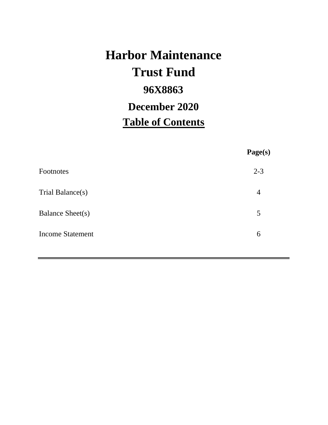# **Harbor Maintenance 96X8863 Table of Contents Trust Fund December 2020**

|                         | Page(s) |
|-------------------------|---------|
| Footnotes               | $2 - 3$ |
| Trial Balance(s)        | 4       |
| <b>Balance Sheet(s)</b> | 5       |
| <b>Income Statement</b> | 6       |
|                         |         |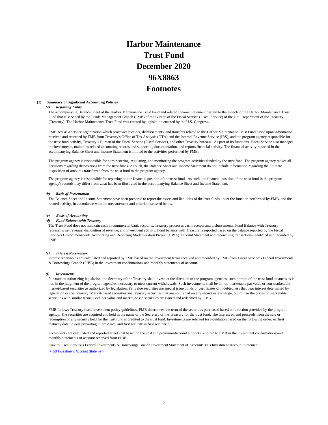# **Harbor Maintenance Trust Fund 96X8863 Footnotes December 2020**

#### **(1) Summary of Significant Accounting Policies**

#### *(a) Reporting Entity*

The accompanying Balance Sheet of the Harbor Maintenance Trust Fund and related Income Statement pertain to the aspects of the Harbor Maintenance Trust Fund that is serviced by the Funds Management Branch (FMB) of the Bureau of the Fiscal Service (Fiscal Service) of the U.S. Department of the Treasury (Treasury). The Harbor Maintenance Trust Fund was created by legislation enacted by the U.S. Congress.

FMB acts as a service organization which processes receipts, disbursements, and transfers related to the Harbor Maintenance Trust Fund based upon information received and recorded by FMB from Treasury's Office of Tax Analysis (OTA) and the Internal Revenue Service (IRS), and the program agency responsible for the trust fund activity, Treasury's Bureau of the Fiscal Service (Fiscal Service), and other Treasury bureaus. As part of its functions, Fiscal Service also manages the investments, maintains related accounting records and supporting documentation, and reports financial activity. The financial activity reported in the accompanying Balance Sheet and Income Statement is limited to the activities performed by FMB.

The program agency is responsible for administering, regulating, and monitoring the program activities funded by the trust fund. The program agency makes all decisions regarding dispositions from the trust funds. As such, the Balance Sheet and Income Statement do not include information regarding the ultimate disposition of amounts transferred from the trust fund to the program agency.

The program agency is responsible for reporting on the financial position of the trust fund. As such, the financial position of the trust fund in the program agency's records may differ from what has been illustrated in the accompanying Balance Sheet and Income Statement.

#### *(b) Basis of Presentation*

The Balance Sheet and Income Statement have been prepared to report the assets and liabilities of the trust funds under the function performed by FMB, and the related activity, in accordance with the measurement and criteria discussed below.

#### *(c) Basis of Accounting*

#### *(d) Fund Balance with Treasury*

The Trust Fund does not maintain cash in commercial bank accounts. Treasury processes cash receipts and disbursements. Fund Balance with Treasury represents net revenue, disposition of revenue, and investment activity. Fund balance with Treasury is reported based on the balance reported by the Fiscal Service's Government-wide Accounting and Reporting Modernization Project (GWA) Account Statement and reconciling transactions identified and recorded by FMB.

#### *(e) Interest Receivables*

Interest receivables are calculated and reported by FMB based on the investment terms received and recorded by FMB from Fiscal Service's Federal Investments & Borrowings Branch (FIBB) in the investment confirmations and monthly statements of account.

#### *(f) Investments*

Pursuant to authorizing legislation, the Secretary of the Treasury shall invest, at the direction of the program agencies, such portion of the trust fund balances as is not, in the judgment of the program agencies, necessary to meet current withdrawals. Such investments shall be in non-marketable par value or non-marketable market-based securities as authorized by legislation. Par value securities are special issue bonds or certificates of indebtedness that bear interest determined by legislation or the Treasury. Market-based securities are Treasury securities that are not traded on any securities exchange, but mirror the prices of marketable securities with similar terms. Both par value and market-based securities are issued and redeemed by FIBB.

FMB follows Treasury fiscal investment policy guidelines. FMB determines the term of the securities purchased based on direction provided by the program agency. The securities are acquired and held in the name of the Secretary of the Treasury for the trust fund. The interest on and proceeds from the sale or redemption of any security held for the trust fund is credited to the trust fund. Investments are selected for liquidation based on the following order: earliest maturity date, lowest prevailing interest rate, and first security in first security out.

Investments are calculated and reported at net cost based on the cost and premium/discount amounts reported to FMB in the investment confirmations and monthly statements of account received from FIBB.

Link to Fiscal Service's Federal Investments & Borrowings Branch Investment Statement of Account: FIB Investment Account Statement FIBB Investment Account Statement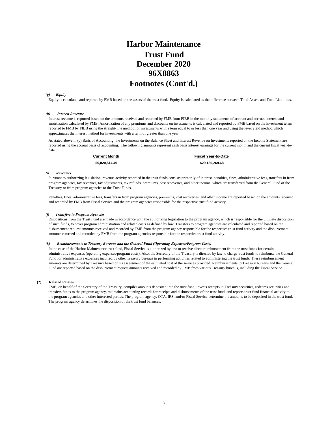## **Harbor Maintenance Trust Fund 96X8863 Footnotes (Cont'd.) December 2020**

#### *(g) Equity*

Equity is calculated and reported by FMB based on the assets of the trust fund. Equity is calculated as the difference between Total Assets and Total Liabilities.

#### *(h) Interest Revenue*

Interest revenue is reported based on the amounts received and recorded by FMB from FIBB in the monthly statements of account and accrued interest and amortization calculated by FMB. Amortization of any premiums and discounts on investments is calculated and reported by FMB based on the investment terms reported to FMB by FIBB using the straight-line method for investments with a term equal to or less than one year and using the level yield method which approximates the interest method for investments with a term of greater than one year.

As stated above in (c) Basis of Accounting, the Investments on the Balance Sheet and Interest Revenue on Investments reported on the Income Statement are reported using the accrual basis of accounting. The following amounts represent cash basis interest earnings for the current month and the current fiscal year-todate.

**Current Month Fiscal Year-to-Date \$6,820,514.49 \$29,130,269.68** 

#### *(i) Revenues*

Pursuant to authorizing legislation, revenue activity recorded in the trust funds consists primarily of interest, penalties, fines, administrative fees, transfers in from program agencies, tax revenues, tax adjustments, tax refunds, premiums, cost recoveries, and other income, which are transferred from the General Fund of the Treasury or from program agencies to the Trust Funds.

Penalties, fines, administrative fees, transfers in from program agencies, premiums, cost recoveries, and other income are reported based on the amounts received and recorded by FMB from Fiscal Service and the program agencies responsible for the respective trust fund activity.

#### *(j) Transfers to Program Agencies*

Dispositions from the Trust Fund are made in accordance with the authorizing legislation to the program agency, which is responsible for the ultimate disposition of such funds, to cover program administration and related costs as defined by law. Transfers to program agencies are calculated and reported based on the disbursement request amounts received and recorded by FMB from the program agency responsible for the respective trust fund activity and the disbursement amounts returned and recorded by FMB from the program agencies responsible for the respective trust fund activity.

#### *(k) Reimbursements to Treasury Bureaus and the General Fund (Operating Expenses/Program Costs)*

In the case of the Harbor Maintenance trust fund, Fiscal Service is authorized by law to receive direct reimbursement from the trust funds for certain administrative expenses (operating expenses/program costs). Also, the Secretary of the Treasury is directed by law to charge trust funds to reimburse the General Fund for administrative expenses incurred by other Treasury bureaus in performing activities related to administering the trust funds. These reimbursement amounts are determined by Treasury based on its assessment of the estimated cost of the services provided. Reimbursements to Treasury bureaus and the General Fund are reported based on the disbursement request amounts received and recorded by FMB from various Treasury bureaus, including the Fiscal Service.

#### **(2) Related Parties**

FMB, on behalf of the Secretary of the Treasury, compiles amounts deposited into the trust fund, invests receipts in Treasury securities, redeems securities and transfers funds to the program agency, maintains accounting records for receipts and disbursements of the trust fund, and reports trust fund financial activity to the program agencies and other interested parties. The program agency, OTA, IRS, and/or Fiscal Service determine the amounts to be deposited in the trust fund. The program agency determines the disposition of the trust fund balances.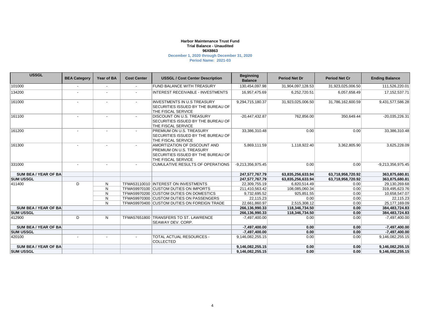#### **Harbor Maintenance Trust Fund 96X8863 December 1, 2020 through December 31, 2020 Trial Balance - Unaudited**

**Period Name: 2021-03**

| <b>USSGL</b>                | <b>BEA Category</b> | Year of BA | <b>Cost Center</b> | <b>USSGL / Cost Center Description</b>                                                                                      | <b>Beginning</b><br><b>Balance</b> | <b>Period Net Dr</b> | <b>Period Net Cr</b> | <b>Ending Balance</b> |
|-----------------------------|---------------------|------------|--------------------|-----------------------------------------------------------------------------------------------------------------------------|------------------------------------|----------------------|----------------------|-----------------------|
| 101000                      |                     |            |                    | <b>FUND BALANCE WITH TREASURY</b>                                                                                           | 130,454,097.98                     | 31,904,097,128.53    | 31,923,025,006.50    | 111,526,220.01        |
| 134200                      |                     |            |                    | INTEREST RECEIVABLE - INVESTMENTS                                                                                           | 16,957,475.69                      | 6,252,720.51         | 6,057,658.49         | 17, 152, 537. 71      |
| 161000                      |                     |            |                    | <b>INVESTMENTS IN U.S TREASURY</b><br><b>SECURITIES ISSUED BY THE BUREAU OF</b><br>THE FISCAL SERVICE                       | 9,294,715,180.37                   | 31,923,025,006.50    | 31,786,162,600.59    | 9,431,577,586.28      |
| 161100                      |                     |            |                    | <b>DISCOUNT ON U.S. TREASURY</b><br><b>SECURITIES ISSUED BY THE BUREAU OF</b><br>THE FISCAL SERVICE                         | $-20,447,432.87$                   | 762.856.00           | 350,649.44           | -20,035,226.31        |
| 161200                      |                     |            |                    | PREMIUM ON U.S. TREASURY<br><b>SECURITIES ISSUED BY THE BUREAU OF</b><br>THE FISCAL SERVICE                                 | 33,386,310.48                      | 0.00                 | 0.00                 | 33,386,310.48         |
| 161300                      |                     |            |                    | AMORTIZATION OF DISCOUNT AND<br>PREMIUM ON U.S. TREASURY<br><b>SECURITIES ISSUED BY THE BUREAU OF</b><br>THE FISCAL SERVICE | 5,869,111.59                       | 1,118,922.40         | 3,362,805.90         | 3,625,228.09          |
| 331000                      |                     |            |                    | CUMULATIVE RESULTS OF OPERATIONS                                                                                            | -9,213,356,975.45                  | 0.00                 | 0.00                 | $-9,213,356,975.45$   |
| <b>SUM BEA/YEAR OF BA</b>   |                     |            |                    |                                                                                                                             | 247,577,767.79                     | 63,835,256,633.94    | 63,718,958,720.92    | 363,875,680.81        |
| <b>SUM USSGL</b>            |                     |            |                    |                                                                                                                             | 247,577,767.79                     | 63,835,256,633.94    | 63,718,958,720.92    | 363,875,680.81        |
| 411400                      | D                   | N          |                    | TFMA53110010  INTEREST ON INVESTMENTS                                                                                       | 22,309,755.19                      | 6,820,514.49         | 0.00                 | 29,130,269.68         |
|                             |                     | N          |                    | TFMA59970100 CUSTOM DUTIES ON IMPORTS                                                                                       | 211,410,563.42                     | 108.085.060.34       | 0.00                 | 319,495,623.76        |
|                             |                     | N          |                    | TFMA59970200 CUSTOM DUTIES ON DOMESTICS                                                                                     | 9,732,695.52                       | 925,851.55           | 0.00                 | 10,658,547.07         |
|                             |                     | N          |                    | TFMA59970300 CUSTOM DUTIES ON PASSENGERS                                                                                    | 22,115.23                          | 0.00                 | 0.00                 | 22,115.23             |
|                             |                     | N          |                    | TFMA59970400 CUSTOM DUTIES ON FOREIGN TRADE                                                                                 | 22,661,860.97                      | 2,515,308.12         | 0.00                 | 25, 177, 169.09       |
| <b>SUM BEA/YEAR OF BA</b>   |                     |            |                    |                                                                                                                             | 266,136,990.33                     | 118,346,734.50       | 0.00                 | 384,483,724.83        |
| <b>SUM USSGL</b>            |                     |            |                    |                                                                                                                             | 266,136,990.33                     | 118,346,734.50       | 0.00                 | 384,483,724.83        |
| 412900                      | D                   | N          | TFMA57651800       | <b>TRANSFERS TO ST. LAWRENCE</b><br><b>SEAWAY DEV. CORP.</b>                                                                | $-7,497,400.00$                    | 0.00                 | 0.00                 | $-7,497,400.00$       |
| <b>SUM BEA/YEAR OF BA</b>   |                     |            |                    |                                                                                                                             | $-7,497,400.00$                    | 0.00                 | 0.00                 | -7,497,400.00         |
| <b>SUM USSGL</b>            |                     |            |                    |                                                                                                                             | $-7,497,400.00$                    | 0.00                 | 0.00                 | -7,497,400.00         |
| 420100                      |                     |            |                    | <b>TOTAL ACTUAL RESOURCES -</b><br><b>COLLECTED</b>                                                                         | 9,146,082,255.15                   | 0.00                 | 0.00                 | 9,146,082,255.15      |
| <b>SUM BEA / YEAR OF BA</b> |                     |            |                    |                                                                                                                             | 9,146,082,255.15                   | 0.00                 | 0.00                 | 9,146,082,255.15      |
| <b>SUM USSGL</b>            |                     |            |                    |                                                                                                                             | 9.146.082.255.15                   | 0.00                 | 0.00                 | 9,146,082,255.15      |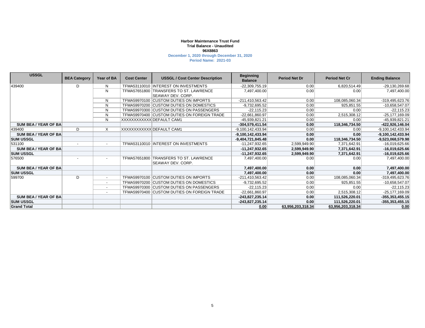#### **Harbor Maintenance Trust Fund 96X8863 December 1, 2020 through December 31, 2020 Trial Balance - Unaudited**

**Period Name: 2021-03**

| <b>USSGL</b>         | <b>BEA Category</b>      | Year of BA               | <b>Cost Center</b>       | <b>USSGL / Cost Center Description</b>                       | <b>Beginning</b><br><b>Balance</b> | <b>Period Net Dr</b> | <b>Period Net Cr</b> | <b>Ending Balance</b> |
|----------------------|--------------------------|--------------------------|--------------------------|--------------------------------------------------------------|------------------------------------|----------------------|----------------------|-----------------------|
| 439400               | D                        | N                        |                          | TFMA53110010 INTEREST ON INVESTMENTS                         | $-22,309,755.19$                   | 0.00                 | 6,820,514.49         | -29,130,269.68        |
|                      |                          | N                        |                          | TFMA57651800 TRANSFERS TO ST. LAWRENCE                       | 7,497,400.00                       | 0.00                 | 0.00                 | 7,497,400.00          |
|                      |                          |                          |                          | <b>SEAWAY DEV. CORP.</b>                                     |                                    |                      |                      |                       |
|                      |                          | N                        |                          | TFMA59970100 CUSTOM DUTIES ON IMPORTS                        | $-211,410,563.42$                  | 0.00                 | 108,085,060.34       | -319,495,623.76       |
|                      |                          | N                        |                          | TFMA59970200 CUSTOM DUTIES ON DOMESTICS                      | $-9,732,695.52$                    | 0.00                 | 925,851.55           | -10,658,547.07        |
|                      |                          | N                        |                          | TFMA59970300 CUSTOM DUTIES ON PASSENGERS                     | $-22,115.23$                       | 0.00                 | 0.00                 | $-22,115.23$          |
|                      |                          | N                        |                          | TFMA59970400 CUSTOM DUTIES ON FOREIGN TRADE                  | -22,661,860.97                     | 0.00                 | 2,515,308.12         | $-25, 177, 169.09$    |
|                      |                          | N                        | XXXXXXXXXXXIDEFAULT CAM1 |                                                              | -45,939,821.21                     | 0.00                 | 0.00                 | -45,939,821.21        |
| SUM BEA / YEAR OF BA |                          |                          |                          |                                                              | $-304,579,411.54$                  | 0.00                 | 118,346,734.50       | -422,926,146.04       |
| 439400               | D                        | X                        | XXXXXXXXXXX DEFAULT CAM1 |                                                              | -9,100,142,433.94                  | 0.00                 | 0.00                 | -9,100,142,433.94     |
| SUM BEA / YEAR OF BA |                          |                          |                          |                                                              | -9,100,142,433.94                  | 0.00                 | 0.00                 | -9,100,142,433.94     |
| <b>SUM USSGL</b>     |                          |                          |                          |                                                              | $-9,404,721,845.48$                | 0.00                 | 118,346,734.50       | -9,523,068,579.98     |
| 531100               | $\overline{\phantom{a}}$ |                          |                          | TFMA53110010 INTEREST ON INVESTMENTS                         | -11,247,932.65                     | 2,599,949.90         | 7,371,642.91         | $-16,019,625.66$      |
| SUM BEA / YEAR OF BA |                          |                          |                          |                                                              | $-11,247,932.65$                   | 2,599,949.90         | 7,371,642.91         | -16,019,625.66        |
| <b>SUM USSGL</b>     |                          |                          |                          |                                                              | $-11,247,932.65$                   | 2,599,949.90         | 7,371,642.91         | -16,019,625.66        |
| 576500               |                          |                          | TFMA57651800             | <b>TRANSFERS TO ST. LAWRENCE</b><br><b>SEAWAY DEV. CORP.</b> | 7,497,400.00                       | 0.00                 | 0.00                 | 7,497,400.00          |
| SUM BEA / YEAR OF BA |                          |                          |                          |                                                              | 7,497,400.00                       | 0.00                 | 0.00                 | 7,497,400.00          |
| <b>SUM USSGL</b>     |                          |                          |                          |                                                              | 7,497,400.00                       | 0.00                 | 0.00                 | 7,497,400.00          |
| 599700               | D                        |                          |                          | TFMA59970100 CUSTOM DUTIES ON IMPORTS                        | $-211,410,563.42$                  | 0.00                 | 108,085,060.34       | -319,495,623.76       |
|                      |                          | $\overline{a}$           |                          | TFMA59970200 CUSTOM DUTIES ON DOMESTICS                      | $-9,732,695.52$                    | 0.00                 | 925,851.55           | -10,658,547.07        |
|                      |                          | $\overline{\phantom{a}}$ |                          | TFMA59970300 CUSTOM DUTIES ON PASSENGERS                     | $-22,115.23$                       | 0.00                 | 0.00                 | $-22.115.23$          |
|                      |                          | $\overline{\phantom{0}}$ |                          | TFMA59970400 CUSTOM DUTIES ON FOREIGN TRADE                  | -22,661,860.97                     | 0.00                 | 2,515,308.12         | $-25, 177, 169.09$    |
| SUM BEA / YEAR OF BA |                          |                          |                          |                                                              | -243,827,235.14                    | 0.00                 | 111,526,220.01       | $-355, 353, 455.15$   |
| <b>SUM USSGL</b>     |                          |                          |                          |                                                              | $-243,827,235.14$                  | 0.00                 | 111,526,220.01       | $-355, 353, 455.15$   |
| <b>Grand Total</b>   |                          |                          |                          |                                                              | 0.00                               | 63.956.203.318.34    | 63.956.203.318.34    | 0.00                  |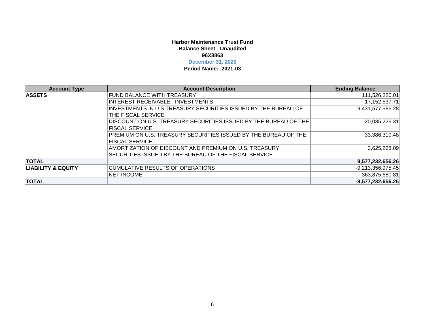### **Harbor Maintenance Trust Fund96X8863Balance Sheet - Unaudited**

### **December 31, 2020**

**Period Name: 2021-03**

| <b>Account Type</b>           | <b>Account Description</b>                                       | <b>Ending Balance</b> |
|-------------------------------|------------------------------------------------------------------|-----------------------|
| <b>ASSETS</b>                 | <b>FUND BALANCE WITH TREASURY</b>                                | 111,526,220.01        |
|                               | INTEREST RECEIVABLE - INVESTMENTS                                | 17, 152, 537. 71      |
|                               | INVESTMENTS IN U.S TREASURY SECURITIES ISSUED BY THE BUREAU OF   | 9,431,577,586.28      |
|                               | THE FISCAL SERVICE                                               |                       |
|                               | DISCOUNT ON U.S. TREASURY SECURITIES ISSUED BY THE BUREAU OF THE | $-20,035,226.31$      |
|                               | <b>FISCAL SERVICE</b>                                            |                       |
|                               | PREMIUM ON U.S. TREASURY SECURITIES ISSUED BY THE BUREAU OF THE  | 33,386,310.48         |
|                               | <b>FISCAL SERVICE</b>                                            |                       |
|                               | AMORTIZATION OF DISCOUNT AND PREMIUM ON U.S. TREASURY            | 3,625,228.09          |
|                               | SECURITIES ISSUED BY THE BUREAU OF THE FISCAL SERVICE            |                       |
| <b>TOTAL</b>                  |                                                                  | 9,577,232,656.26      |
| <b>LIABILITY &amp; EQUITY</b> | CUMULATIVE RESULTS OF OPERATIONS                                 | $-9,213,356,975.45$   |
|                               | <b>NET INCOME</b>                                                | $-363,875,680.81$     |
| <b>TOTAL</b>                  |                                                                  | $-9,577,232,656.26$   |